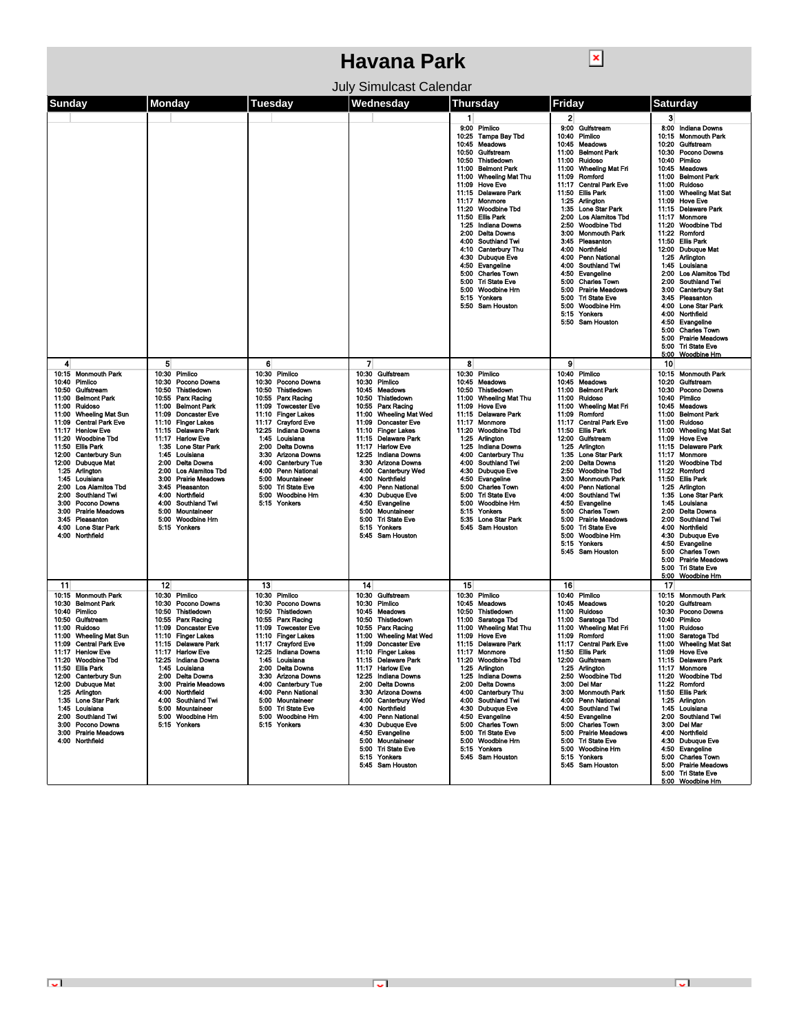## **Havana Park**

July Simulcast Calendar

 $\boxed{\textbf{x}}$ 

| Sunday                                                                                                                                                                                                                                                                                                                                                                                                                                                                                                                                                                                           | <b>Monday</b>                                                                                                                                                                                                                                                                                                                                                                                                                                                                         | Tuesday                                                                                                                                                                                                                                                                                                                                                                                                  | Wednesday                                                                                                                                                                                                                                                                                                                                                                                                                                                                                                                                                           | <b>Thursday</b>                                                                                                                                                                                                                                                                                                                                                                                                                                                                                                                                                                                                            | Fridav                                                                                                                                                                                                                                                                                                                                                                                                                                                                                                                                                                                                                               | Saturday                                                                                                                                                                                                                                                                                                                                                                                                                                                                                                                                                                                                                                                                                                                                                                                                            |
|--------------------------------------------------------------------------------------------------------------------------------------------------------------------------------------------------------------------------------------------------------------------------------------------------------------------------------------------------------------------------------------------------------------------------------------------------------------------------------------------------------------------------------------------------------------------------------------------------|---------------------------------------------------------------------------------------------------------------------------------------------------------------------------------------------------------------------------------------------------------------------------------------------------------------------------------------------------------------------------------------------------------------------------------------------------------------------------------------|----------------------------------------------------------------------------------------------------------------------------------------------------------------------------------------------------------------------------------------------------------------------------------------------------------------------------------------------------------------------------------------------------------|---------------------------------------------------------------------------------------------------------------------------------------------------------------------------------------------------------------------------------------------------------------------------------------------------------------------------------------------------------------------------------------------------------------------------------------------------------------------------------------------------------------------------------------------------------------------|----------------------------------------------------------------------------------------------------------------------------------------------------------------------------------------------------------------------------------------------------------------------------------------------------------------------------------------------------------------------------------------------------------------------------------------------------------------------------------------------------------------------------------------------------------------------------------------------------------------------------|--------------------------------------------------------------------------------------------------------------------------------------------------------------------------------------------------------------------------------------------------------------------------------------------------------------------------------------------------------------------------------------------------------------------------------------------------------------------------------------------------------------------------------------------------------------------------------------------------------------------------------------|---------------------------------------------------------------------------------------------------------------------------------------------------------------------------------------------------------------------------------------------------------------------------------------------------------------------------------------------------------------------------------------------------------------------------------------------------------------------------------------------------------------------------------------------------------------------------------------------------------------------------------------------------------------------------------------------------------------------------------------------------------------------------------------------------------------------|
|                                                                                                                                                                                                                                                                                                                                                                                                                                                                                                                                                                                                  |                                                                                                                                                                                                                                                                                                                                                                                                                                                                                       |                                                                                                                                                                                                                                                                                                                                                                                                          |                                                                                                                                                                                                                                                                                                                                                                                                                                                                                                                                                                     | $\mathbf{1}$<br>9:00 Pimlico<br>10:25<br><b>Tampa Bay Tbd</b><br>Meadows<br>10:45<br>Gulfstream<br>10:50<br>Thistledown<br>10:50<br><b>Belmont Park</b><br>11:00<br>11:00<br><b>Wheeling Mat Thu</b><br><b>Hove Eve</b><br>11:09<br>11:15<br><b>Delaware Park</b><br>11:17<br>Monmore<br><b>Woodbine Tbd</b><br>11:20<br>11:50<br>Ellis Park<br>1:25<br>Indiana Downs<br>2:00<br><b>Delta Downs</b><br>4:00<br>Southland Twi<br>4:10 Canterbury Thu<br>4:30 Dubuque Eve<br>4:50<br>Evangeline<br>5:00<br><b>Charles Town</b><br>5:00<br><b>Tri State Eve</b><br>5:00<br>Woodbine Hm<br>5:15<br>Yonkers<br>5:50 Sam Houston | $\mathbf{2}$<br>9.00<br>Gulfstream<br>10:40<br>Pimlico<br>10:45 Meadows<br><b>Belmont Park</b><br>11:00<br>Ruidoso<br>11:00<br>11:00<br>Wheeling Mat Fri<br>11:09<br>Romford<br><b>Central Park Eve</b><br>11:17<br>11:50<br>Ellis Park<br>Arlington<br>1:25<br>1:35<br>Lone Star Park<br><b>Los Alamitos Tbd</b><br>2:00<br><b>Woodbine Tbd</b><br>2:50<br>3:00<br><b>Monmouth Park</b><br>3.45<br>Pleasanton<br>Northfield<br>4:00<br>4.00<br>Penn National<br>4:00 Southland Twi<br>Evangeline<br>4:50<br>5:00 Charles Town<br>5:00 Prairie Meadows<br>5:00 Tri State Eve<br>5:00 Woodbine Hm<br>5:15 Yonkers<br>5:50 Sam Houston | 3<br>8:00 Indiana Downs<br>10:15<br><b>Monmouth Park</b><br>10:20<br>Gulfstream<br>10:30<br>Pocono Downs<br>10:40<br>Pimlico<br>10:45<br>Meadows<br>11:00<br><b>Belmont Park</b><br>11:00<br>Ruidoso<br><b>Wheeling Mat Sat</b><br>11:00<br><b>Hove Eve</b><br>11:09<br><b>Delaware Park</b><br>11:15<br>11:17<br>Monmore<br><b>Woodbine Tbd</b><br>11:20<br>11:22<br>Romford<br>11:50<br><b>Ellis Park</b><br>12:00<br><b>Dubuque Mat</b><br>1:25<br>Arlington<br>1:45<br>Louisiana<br><b>Los Alamitos Tbd</b><br>2:00<br>Southland Twi<br>2:00<br>3:00<br><b>Canterbury Sat</b><br>3:45<br>Pleasanton<br>4:00<br><b>Lone Star Park</b><br>4:00<br>Northfield<br>4:50<br>Evangeline<br><b>Charles Town</b><br>5:00<br><b>Prairie Meadows</b><br>5:00<br><b>Tri State Eve</b><br>5:00<br>5:00<br><b>Woodbine Hm</b> |
| 4<br>10:15 Monmouth Park<br>10:40 Pimlico<br>10:50<br>Gulfstream<br><b>Belmont Park</b><br>11:00<br>11:00<br>Ruidoso<br>11:00<br><b>Wheeling Mat Sun</b><br>11:09<br><b>Central Park Eve</b><br>11:17<br><b>Henlow Eve</b><br><b>Woodbine Tbd</b><br>11:20<br>11:50<br>Ellis Park<br>12:00<br><b>Canterbury Sun</b><br><b>Dubuque Mat</b><br>12:00<br>1:25 Arlington<br>Louisiana<br>1:45<br><b>Los Alamitos Tbd</b><br>2:00<br><b>Southland Twi</b><br>2:00<br>Pocono Downs<br>3:00<br>3:00<br><b>Prairie Meadows</b><br>Pleasanton<br>3:45<br><b>Lone Star Park</b><br>4:00<br>4:00 Northfield | 5<br>10:30 Pimlico<br>10:30<br>Pocono Downs<br>10:50<br>Thistledown<br>10:55 Parx Racing<br>11:00 Belmont Park<br>11:09 Doncaster Eve<br>11:10 Finger Lakes<br>11:15 Delaware Park<br>11:17 Harlow Eve<br>1:35 Lone Star Park<br>1:45 Louisiana<br><b>Delta Downs</b><br>2:00<br>2:00<br><b>Los Alamitos Tbd</b><br>3:00<br><b>Prairie Meadows</b><br>3.45<br>Pleasanton<br>Northfield<br>4:00<br>4:00<br>Southland Twi<br>5:00<br>Mountaineer<br>5:00<br>Woodbine Hm<br>5:15 Yonkers | 6<br>10:30<br>Pimlico<br>10:30<br>Pocono Downs<br>10:50<br>Thistledown<br>10:55 Parx Racing<br>11:09 Towcester Eve<br>11:10 Finger Lakes<br>11:17 Crayford Eve<br>12:25<br>Indiana Downs<br>1:45 Louisiana<br><b>Delta Downs</b><br>2:00<br>3:30 Arizona Downs<br>4:00 Canterbury Tue<br>4:00 Penn National<br>5:00<br>Mountaineer<br><b>Tri State Eve</b><br>5:00<br>5:00 Woodbine Hm<br>5.15 Yonkers   | 7<br>10:30 Gulfstream<br>10:30<br>Pimlico<br>10:45<br><b>Meadows</b><br>10:50<br>Thistledown<br>10:55 Parx Racing<br>11:00<br><b>Wheeling Mat Wed</b><br>11:09<br><b>Doncaster Eve</b><br>11:10<br>Finger Lakes<br>11:15<br>Delaware Park<br>11:17<br><b>Harlow Eve</b><br>12:25<br>Indiana Downs<br>3:30<br>Arizona Downs<br>4:00<br><b>Canterbury Wed</b><br>Northfield<br>4:00<br><b>Penn National</b><br>4:00<br><b>Dubuque Eve</b><br>4:30<br>Evangeline<br>4:50<br>5:00<br>Mountaineer<br>5:00<br><b>Tri State Eve</b><br>Yonkers<br>5:15<br>5:45 Sam Houston | 8<br>10:30 Pimlico<br>10:45<br>Meadows<br>10:50<br>Thistledown<br>11:00 Wheeling Mat Thu<br>11:09 Hove Eve<br>11:15 Delaware Park<br>Monmore<br>11:17<br>11:20 Woodbine Tbd<br>1:25 Arlington<br>1:25<br>Indiana Downs<br>4:00<br><b>Canterbury Thu</b><br>Southland Twi<br>4:00<br>4:30<br><b>Dubuaue Eve</b><br>4:50<br>Evangeline<br><b>Charles Town</b><br>5:00<br><b>Tri State Eve</b><br>5:00<br>5:00<br>Woodbine Hm<br>5:15<br>Yonkers<br>5:35 Lone Star Park<br>5:45 Sam Houston                                                                                                                                   | 9<br>10:40 Pimlico<br>10:45<br>Meadows<br>11:00<br><b>Belmont Park</b><br>Ruidoso<br>11:00<br><b>Wheeling Mat Fri</b><br>11:00<br>Romford<br>11:09<br>11:17<br><b>Central Park Eve</b><br>Ellis Park<br>11:50<br>Gulfstream<br>12:00<br>1:25<br>Arlington<br>1:35<br><b>Lone Star Park</b><br>Delta Downs<br>2:00<br>2:50<br><b>Woodbine Tbd</b><br><b>Monmouth Park</b><br>3:00<br>4:00 Penn National<br>4:00 Southland Twi<br>Evangeline<br>4:50<br>5:00 Charles Town<br>5:00 Prairie Meadows<br><b>Tri State Eve</b><br>5:00<br>Woodbine Hm<br>5:00<br>5:15 Yonkers<br>5:45 Sam Houston                                           | 10<br>10:15 Monmouth Park<br>10:20<br>Gulfstream<br>10:30<br>Pocono Downs<br>10:40<br>Pimlico<br>10:45<br>Meadows<br>11:00<br><b>Belmont Park</b><br>11:00<br>Ruidoso<br><b>Wheeling Mat Sat</b><br>11:00<br>11:09<br>Hove Eve<br>11:15<br>Delaware Park<br>11:17<br>Monmore<br><b>Woodbine Tbd</b><br>11:20<br>11:22<br>Romford<br>11:50<br><b>Ellis Park</b><br>1:25<br>Arlington<br><b>Lone Star Park</b><br>1:35<br>1:45<br>Louisiana<br><b>Delta Downs</b><br>2:00<br>2:00<br><b>Southland Twi</b><br>4:00<br>Northfield<br>4:30<br><b>Dubuque Eve</b><br>Evangeline<br>4:50<br>5:00<br><b>Charles Town</b><br><b>Prairie Meadows</b><br>5:00<br>5:00<br><b>Tri State Eve</b><br><b>Woodbine Hm</b><br>5:00                                                                                                    |
| -11<br>10:15 Monmouth Park<br>10:30<br><b>Belmont Park</b><br>10:40<br>Pimlico<br>10:50<br>Gulfstream<br>11:00 Ruidoso<br><b>Wheeling Mat Sun</b><br>11:00<br><b>Central Park Eve</b><br>11:09<br>11:17 Henlow Eve<br>11:20 Woodbine Tbd<br>11:50 Ellis Park<br>12:00 Canterbury Sun<br>12:00 Dubuque Mat<br>1:25 Arlinaton<br>1:35 Lone Star Park<br>1:45 Louisiana<br>2:00 Southland Twi<br>3:00 Pocono Downs<br>3:00 Prairie Meadows<br>4:00 Northfield                                                                                                                                       | 12<br>10:30 Pimlico<br>10:30<br>Pocono Downs<br>10:50<br>Thistiedown<br>10:55<br>Parx Racing<br>11:09<br><b>Doncaster Eve</b><br><b>Finger Lakes</b><br>11:10<br>11:15 Delaware Park<br>11:17 Harlow Eve<br>12:25<br>Indiana Downs<br>1:45 Louisiana<br>2:00 Delta Downs<br>3:00 Prairie Meadows<br>4:00 Northfield<br>4:00 Southland Twi<br>5:00 Mountaineer<br>5:00 Woodbine Hm<br>5:15 Yonkers                                                                                     | 13<br>10:30 Pimlico<br>10:30<br>Pocono Downs<br>Thistledown<br>10:50<br>10:55 Parx Racing<br>11:09<br><b>Towcester Eve</b><br><b>Finger Lakes</b><br>11:10<br>11:17<br><b>Crayford Eve</b><br>12:25 Indiana Downs<br>1:45 Louisiana<br>2:00 Delta Downs<br>3:30 Arizona Downs<br>4:00 Canterbury Tue<br>4:00 Penn National<br>5:00 Mountaineer<br>5:00 Tri State Eve<br>5:00 Woodbine Hm<br>5:15 Yonkers | 14<br>10:30 Gulfstream<br>10:30<br>Pimlico<br>10:45 Meadows<br>Thistledown<br>10:50<br>10:55<br>Parx Racing<br><b>Wheeling Mat Wed</b><br>11:00<br>Doncaster Eve<br>11:09<br>11:10 Finger Lakes<br>11:15 Delaware Park<br>11:17 Harlow Eve<br>12:25 Indiana Downs<br>2:00 Delta Downs<br>3:30 Arizona Downs<br>4:00 Canterbury Wed<br>4:00 Northfield<br>4:00 Penn National<br>4:30 Dubuque Eve<br>4:50 Evangeline<br>5:00 Mountaineer<br><b>Tri State Eve</b><br>5:00<br>5:15 Yonkers<br>5:45 Sam Houston                                                          | 15<br>10:30 Pimlico<br>10:45<br>Meadows<br>10:50<br>Thistledown<br>11:00<br>Saratoga Tbd<br><b>Wheeling Mat Thu</b><br>11:00<br>11:09<br><b>Hove Eve</b><br>11:15<br><b>Delaware Park</b><br>11:17<br>Monmore<br>11:20 Woodbine Tbd<br>1.25 Arlington<br>1:25 Indiana Downs<br>2.00 Delta Downs<br>4:00 Canterbury Thu<br>4:00 Southland Twi<br>4:30 Dubuque Eve<br>4:50 Evangeline<br>5:00 Charles Town<br>5:00 Tri State Eve<br>5:00 Woodbine Hrn<br>5.15 Yonkers<br>5:45 Sam Houston                                                                                                                                    | 16<br>10:40 Pimlico<br>10:45<br>Meadows<br>11:00<br>Ruidoso<br>11:00<br>Saratoga Tbd<br>11:00<br>Wheeling Mat Fri<br>11:09<br>Romford<br><b>Central Park Eve</b><br>11:17<br>Ellis Park<br>11:50<br>12:00 Gulfstream<br>1:25 Arlington<br>2:50 Woodbine Tbd<br>3:00 Del Mar<br>3:00 Monmouth Park<br>4:00 Penn National<br>4:00 Southland Twi<br>4:50 Evangeline<br>5:00 Charles Town<br>5:00 Prairie Meadows<br>5:00 Tri State Eve<br>5:00 Woodbine Hm<br>5:15 Yonkers<br>5:45 Sam Houston                                                                                                                                          | 17<br>10:15 Monmouth Park<br>10:20<br>Gulfstream<br>10:30<br>Pocono Downs<br>Pimlico<br>10:40<br>11:00<br>Ruidoso<br>Saratoga Tbd<br>11:00<br><b>Wheeling Mat Sat</b><br>11:00<br><b>Hove Eve</b><br>11:09<br><b>Delaware Park</b><br>11:15<br>11:17 Monmore<br>11:20 Woodbine Tbd<br>11:22 Romford<br>11:50 Ellis Park<br>1:25 Arlington<br>1:45 Louisiana<br>2:00 Southland Twi<br>3:00 Del Mar<br>4:00 Northfield<br>4:30 Dubuque Eve<br>4:50 Evangeline<br>5:00 Charles Town<br>5:00 Prairie Meadows<br>5:00 Tri State Eve<br>5:00 Woodbine Hm                                                                                                                                                                                                                                                                  |